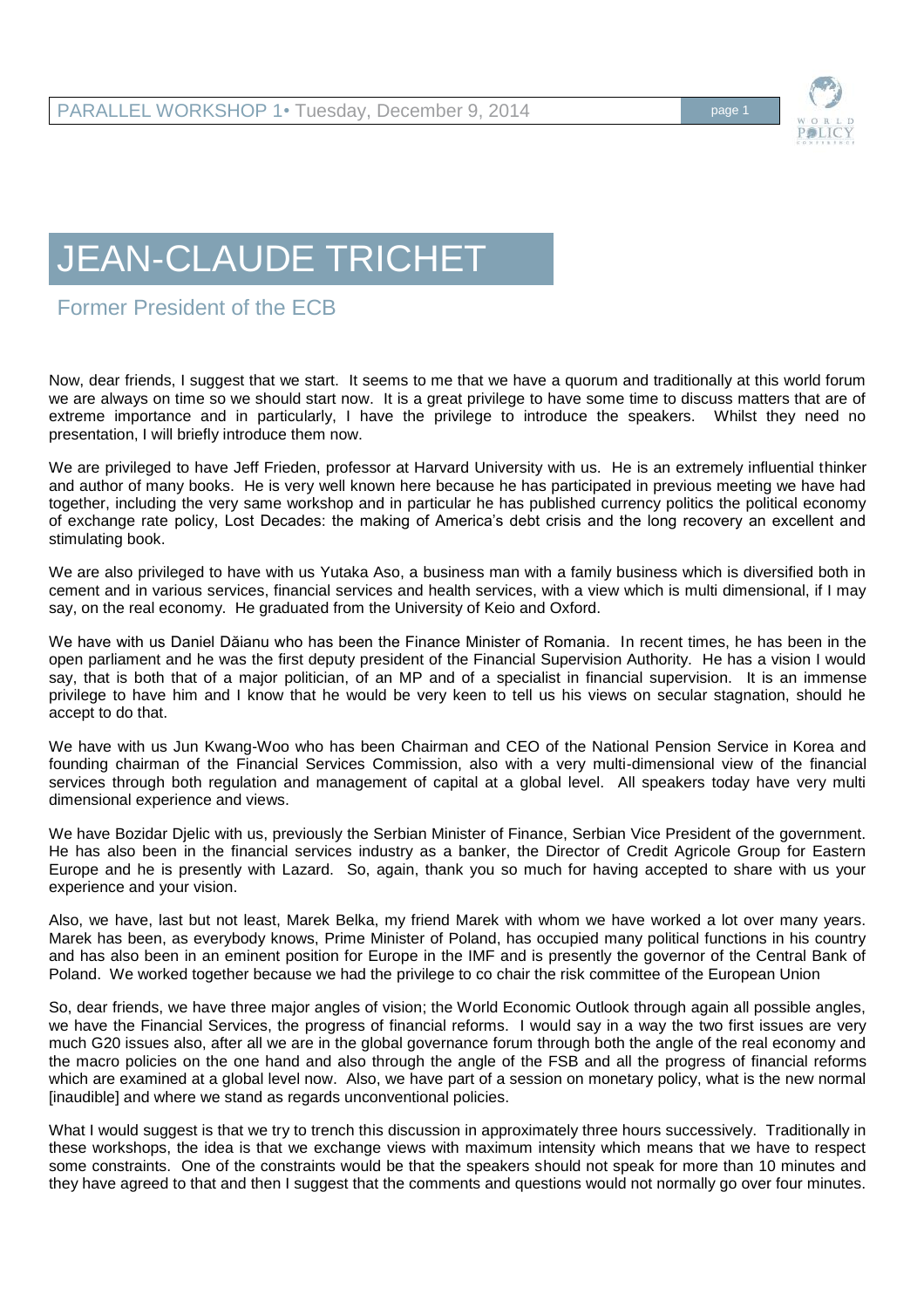

## JEAN-CLAUDE TRICHET

## Former President of the ECB

Now, dear friends, I suggest that we start. It seems to me that we have a quorum and traditionally at this world forum we are always on time so we should start now. It is a great privilege to have some time to discuss matters that are of extreme importance and in particularly, I have the privilege to introduce the speakers. Whilst they need no presentation, I will briefly introduce them now.

We are privileged to have Jeff Frieden, professor at Harvard University with us. He is an extremely influential thinker and author of many books. He is very well known here because he has participated in previous meeting we have had together, including the very same workshop and in particular he has published currency politics the political economy of exchange rate policy, Lost Decades: the making of America's debt crisis and the long recovery an excellent and stimulating book.

We are also privileged to have with us Yutaka Aso, a business man with a family business which is diversified both in cement and in various services, financial services and health services, with a view which is multi dimensional, if I may say, on the real economy. He graduated from the University of Keio and Oxford.

We have with us Daniel Dăianu who has been the Finance Minister of Romania. In recent times, he has been in the open parliament and he was the first deputy president of the Financial Supervision Authority. He has a vision I would say, that is both that of a major politician, of an MP and of a specialist in financial supervision. It is an immense privilege to have him and I know that he would be very keen to tell us his views on secular stagnation, should he accept to do that.

We have with us Jun Kwang-Woo who has been Chairman and CEO of the National Pension Service in Korea and founding chairman of the Financial Services Commission, also with a very multi-dimensional view of the financial services through both regulation and management of capital at a global level. All speakers today have very multi dimensional experience and views.

We have Bozidar Djelic with us, previously the Serbian Minister of Finance, Serbian Vice President of the government. He has also been in the financial services industry as a banker, the Director of Credit Agricole Group for Eastern Europe and he is presently with Lazard. So, again, thank you so much for having accepted to share with us your experience and your vision.

Also, we have, last but not least, Marek Belka, my friend Marek with whom we have worked a lot over many years. Marek has been, as everybody knows, Prime Minister of Poland, has occupied many political functions in his country and has also been in an eminent position for Europe in the IMF and is presently the governor of the Central Bank of Poland. We worked together because we had the privilege to co chair the risk committee of the European Union

So, dear friends, we have three major angles of vision; the World Economic Outlook through again all possible angles, we have the Financial Services, the progress of financial reforms. I would say in a way the two first issues are very much G20 issues also, after all we are in the global governance forum through both the angle of the real economy and the macro policies on the one hand and also through the angle of the FSB and all the progress of financial reforms which are examined at a global level now. Also, we have part of a session on monetary policy, what is the new normal [inaudible] and where we stand as regards unconventional policies.

What I would suggest is that we try to trench this discussion in approximately three hours successively. Traditionally in these workshops, the idea is that we exchange views with maximum intensity which means that we have to respect some constraints. One of the constraints would be that the speakers should not speak for more than 10 minutes and they have agreed to that and then I suggest that the comments and questions would not normally go over four minutes.